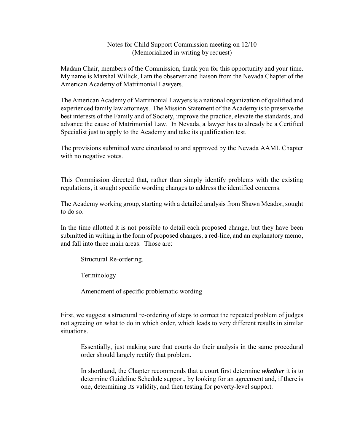## Notes for Child Support Commission meeting on 12/10 (Memorialized in writing by request)

Madam Chair, members of the Commission, thank you for this opportunity and your time. My name is Marshal Willick, I am the observer and liaison from the Nevada Chapter of the American Academy of Matrimonial Lawyers.

The American Academy of Matrimonial Lawyers is a national organization of qualified and experienced family law attorneys. The Mission Statement of the Academy is to preserve the best interests of the Family and of Society, improve the practice, elevate the standards, and advance the cause of Matrimonial Law. In Nevada, a lawyer has to already be a Certified Specialist just to apply to the Academy and take its qualification test.

The provisions submitted were circulated to and approved by the Nevada AAML Chapter with no negative votes.

This Commission directed that, rather than simply identify problems with the existing regulations, it sought specific wording changes to address the identified concerns.

The Academy working group, starting with a detailed analysis from Shawn Meador, sought to do so.

In the time allotted it is not possible to detail each proposed change, but they have been submitted in writing in the form of proposed changes, a red-line, and an explanatory memo, and fall into three main areas. Those are:

Structural Re-ordering.

Terminology

Amendment of specific problematic wording

First, we suggest a structural re-ordering of steps to correct the repeated problem of judges not agreeing on what to do in which order, which leads to very different results in similar situations.

Essentially, just making sure that courts do their analysis in the same procedural order should largely rectify that problem.

In shorthand, the Chapter recommends that a court first determine *whether* it is to determine Guideline Schedule support, by looking for an agreement and, if there is one, determining its validity, and then testing for poverty-level support.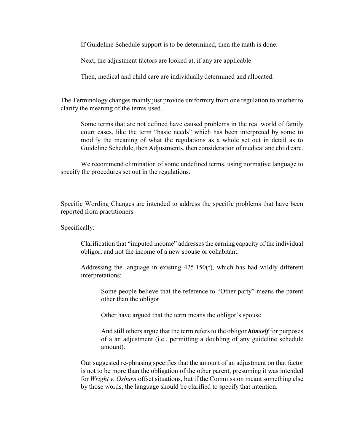If Guideline Schedule support is to be determined, then the math is done.

Next, the adjustment factors are looked at, if any are applicable.

Then, medical and child care are individually determined and allocated.

The Terminology changes mainly just provide uniformity from one regulation to another to clarify the meaning of the terms used.

Some terms that are not defined have caused problems in the real world of family court cases, like the term "basic needs" which has been interpreted by some to modify the meaning of what the regulations as a whole set out in detail as to Guideline Schedule, then Adjustments, then consideration of medical and child care.

We recommend elimination of some undefined terms, using normative language to specify the procedures set out in the regulations.

Specific Wording Changes are intended to address the specific problems that have been reported from practitioners.

Specifically:

Clarification that "imputed income" addresses the earning capacity of the individual obligor, and not the income of a new spouse or cohabitant.

Addressing the language in existing 425.150(f), which has had wildly different interpretations:

Some people believe that the reference to "Other party" means the parent other than the obligor.

Other have argued that the term means the obligor's spouse.

And still others argue that the term refers to the obligor *himself* for purposes of a an adjustment (i.e., permitting a doubling of any guideline schedule amount).

Our suggested re-phrasing specifies that the amount of an adjustment on that factor is not to be more than the obligation of the other parent, presuming it was intended for *Wright v. Osburn* offset situations, but if the Commission meant something else by those words, the language should be clarified to specify that intention.